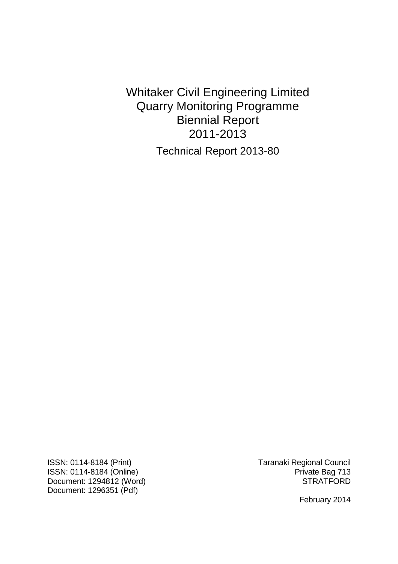Whitaker Civil Engineering Limited Quarry Monitoring Programme Biennial Report 2011-2013 Technical Report 2013-80

ISSN: 0114-8184 (Print) Taranaki Regional Council ISSN: 0114-8184 (Online)<br>Document: 1294812 (Word) Pocument: 1294812 (Word) Document: 1294812 (Word) Document: 1296351 (Pdf)

February 2014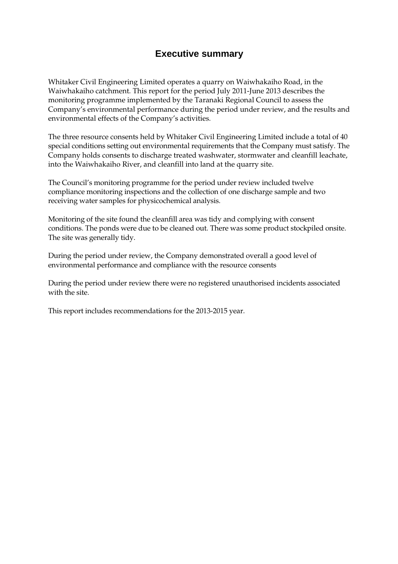# **Executive summary**

Whitaker Civil Engineering Limited operates a quarry on Waiwhakaiho Road, in the Waiwhakaiho catchment. This report for the period July 2011-June 2013 describes the monitoring programme implemented by the Taranaki Regional Council to assess the Company's environmental performance during the period under review, and the results and environmental effects of the Company's activities.

The three resource consents held by Whitaker Civil Engineering Limited include a total of 40 special conditions setting out environmental requirements that the Company must satisfy. The Company holds consents to discharge treated washwater, stormwater and cleanfill leachate, into the Waiwhakaiho River, and cleanfill into land at the quarry site.

The Council's monitoring programme for the period under review included twelve compliance monitoring inspections and the collection of one discharge sample and two receiving water samples for physicochemical analysis.

Monitoring of the site found the cleanfill area was tidy and complying with consent conditions. The ponds were due to be cleaned out. There was some product stockpiled onsite. The site was generally tidy.

During the period under review, the Company demonstrated overall a good level of environmental performance and compliance with the resource consents

During the period under review there were no registered unauthorised incidents associated with the site.

This report includes recommendations for the 2013-2015 year.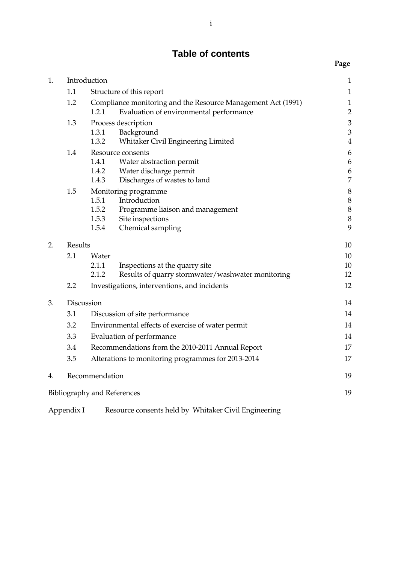# **Table of contents**

**Page** 

| 1. | Introduction |                                    |                                                                                                         | $\mathbf{1}$                     |
|----|--------------|------------------------------------|---------------------------------------------------------------------------------------------------------|----------------------------------|
|    | 1.1          |                                    | Structure of this report                                                                                | $\mathbf 1$                      |
|    | 1.2          | 1.2.1                              | Compliance monitoring and the Resource Management Act (1991)<br>Evaluation of environmental performance | $\mathbf 1$<br>$\overline{c}$    |
|    | 1.3          |                                    | Process description                                                                                     | $\mathfrak{Z}$                   |
|    |              | 1.3.1<br>1.3.2                     | Background<br>Whitaker Civil Engineering Limited                                                        | $\overline{3}$<br>$\overline{4}$ |
|    | 1.4          |                                    | Resource consents                                                                                       | 6                                |
|    |              | 1.4.1                              | Water abstraction permit                                                                                | 6                                |
|    |              | 1.4.2<br>1.4.3                     | Water discharge permit<br>Discharges of wastes to land                                                  | 6<br>$\overline{7}$              |
|    | 1.5          |                                    | Monitoring programme                                                                                    | $\boldsymbol{8}$                 |
|    |              | 1.5.1                              | Introduction                                                                                            | 8                                |
|    |              | 1.5.2                              | Programme liaison and management                                                                        | 8                                |
|    |              | 1.5.3                              | Site inspections                                                                                        | $\boldsymbol{8}$                 |
|    |              | 1.5.4                              | Chemical sampling                                                                                       | 9                                |
| 2. | Results      |                                    |                                                                                                         | 10                               |
|    | 2.1          | Water                              |                                                                                                         | 10                               |
|    |              | 2.1.1                              | Inspections at the quarry site                                                                          | 10                               |
|    |              | 2.1.2                              | Results of quarry stormwater/washwater monitoring                                                       | 12                               |
|    | 2.2          |                                    | Investigations, interventions, and incidents                                                            | 12                               |
| 3. | Discussion   |                                    |                                                                                                         | 14                               |
|    | 3.1          |                                    | Discussion of site performance                                                                          | 14                               |
|    | 3.2          |                                    | Environmental effects of exercise of water permit                                                       | 14                               |
|    | 3.3          |                                    | Evaluation of performance                                                                               | 14                               |
|    | 3.4          |                                    | Recommendations from the 2010-2011 Annual Report                                                        | 17                               |
|    | 3.5          |                                    | Alterations to monitoring programmes for 2013-2014                                                      | 17                               |
| 4. |              | Recommendation                     |                                                                                                         | 19                               |
|    |              | <b>Bibliography and References</b> |                                                                                                         | 19                               |
|    | Appendix I   |                                    | Resource consents held by Whitaker Civil Engineering                                                    |                                  |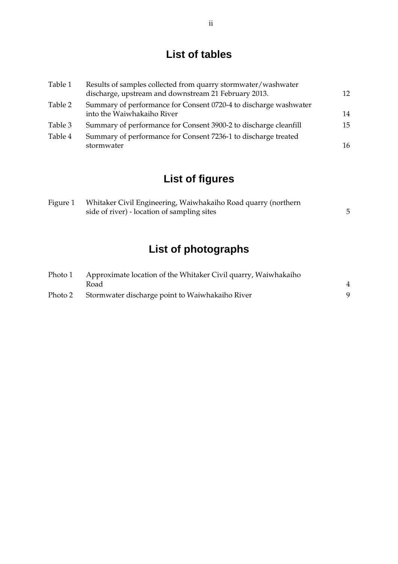# **List of tables**

| Table 1 | Results of samples collected from quarry stormwater/washwater<br>discharge, upstream and downstream 21 February 2013. | 12 |
|---------|-----------------------------------------------------------------------------------------------------------------------|----|
| Table 2 | Summary of performance for Consent 0720-4 to discharge washwater<br>into the Waiwhakaiho River                        | 14 |
| Table 3 | Summary of performance for Consent 3900-2 to discharge cleanfill                                                      | 15 |
| Table 4 | Summary of performance for Consent 7236-1 to discharge treated<br>stormwater                                          | 16 |

# **List of figures**

| Figure 1 | Whitaker Civil Engineering, Waiwhakaiho Road quarry (northern |  |
|----------|---------------------------------------------------------------|--|
|          | side of river) - location of sampling sites                   |  |

# **List of photographs**

| Photo 1 | Approximate location of the Whitaker Civil quarry, Waiwhakaiho |                |
|---------|----------------------------------------------------------------|----------------|
|         | Road                                                           | $\overline{4}$ |
| Photo 2 | Stormwater discharge point to Waiwhakaiho River                |                |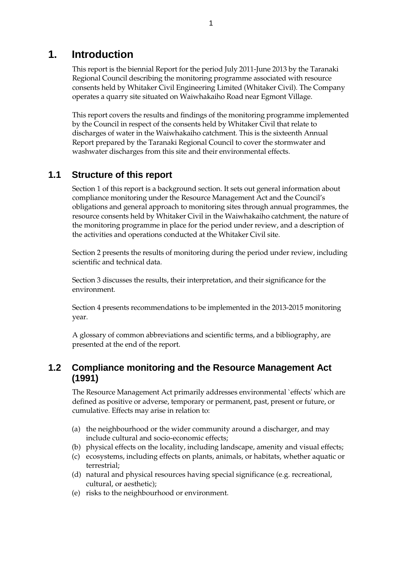# **1. Introduction**

This report is the biennial Report for the period July 2011-June 2013 by the Taranaki Regional Council describing the monitoring programme associated with resource consents held by Whitaker Civil Engineering Limited (Whitaker Civil). The Company operates a quarry site situated on Waiwhakaiho Road near Egmont Village.

This report covers the results and findings of the monitoring programme implemented by the Council in respect of the consents held by Whitaker Civil that relate to discharges of water in the Waiwhakaiho catchment. This is the sixteenth Annual Report prepared by the Taranaki Regional Council to cover the stormwater and washwater discharges from this site and their environmental effects.

# **1.1 Structure of this report**

Section 1 of this report is a background section. It sets out general information about compliance monitoring under the Resource Management Act and the Council's obligations and general approach to monitoring sites through annual programmes, the resource consents held by Whitaker Civil in the Waiwhakaiho catchment, the nature of the monitoring programme in place for the period under review, and a description of the activities and operations conducted at the Whitaker Civil site.

Section 2 presents the results of monitoring during the period under review, including scientific and technical data.

Section 3 discusses the results, their interpretation, and their significance for the environment.

Section 4 presents recommendations to be implemented in the 2013-2015 monitoring year.

A glossary of common abbreviations and scientific terms, and a bibliography, are presented at the end of the report.

# **1.2 Compliance monitoring and the Resource Management Act (1991)**

The Resource Management Act primarily addresses environmental `effects' which are defined as positive or adverse, temporary or permanent, past, present or future, or cumulative. Effects may arise in relation to:

- (a) the neighbourhood or the wider community around a discharger, and may include cultural and socio-economic effects;
- (b) physical effects on the locality, including landscape, amenity and visual effects;
- (c) ecosystems, including effects on plants, animals, or habitats, whether aquatic or terrestrial;
- (d) natural and physical resources having special significance (e.g. recreational, cultural, or aesthetic);
- (e) risks to the neighbourhood or environment.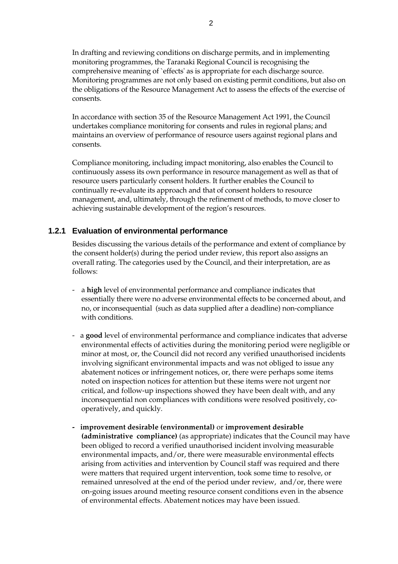In drafting and reviewing conditions on discharge permits, and in implementing monitoring programmes, the Taranaki Regional Council is recognising the comprehensive meaning of `effects' as is appropriate for each discharge source. Monitoring programmes are not only based on existing permit conditions, but also on the obligations of the Resource Management Act to assess the effects of the exercise of consents.

In accordance with section 35 of the Resource Management Act 1991, the Council undertakes compliance monitoring for consents and rules in regional plans; and maintains an overview of performance of resource users against regional plans and consents.

Compliance monitoring, including impact monitoring, also enables the Council to continuously assess its own performance in resource management as well as that of resource users particularly consent holders. It further enables the Council to continually re-evaluate its approach and that of consent holders to resource management, and, ultimately, through the refinement of methods, to move closer to achieving sustainable development of the region's resources.

### **1.2.1 Evaluation of environmental performance**

Besides discussing the various details of the performance and extent of compliance by the consent holder(s) during the period under review, this report also assigns an overall rating. The categories used by the Council, and their interpretation, are as follows:

- a **high** level of environmental performance and compliance indicates that essentially there were no adverse environmental effects to be concerned about, and no, or inconsequential (such as data supplied after a deadline) non-compliance with conditions.
- a **good** level of environmental performance and compliance indicates that adverse environmental effects of activities during the monitoring period were negligible or minor at most, or, the Council did not record any verified unauthorised incidents involving significant environmental impacts and was not obliged to issue any abatement notices or infringement notices, or, there were perhaps some items noted on inspection notices for attention but these items were not urgent nor critical, and follow-up inspections showed they have been dealt with, and any inconsequential non compliances with conditions were resolved positively, cooperatively, and quickly.
- **improvement desirable (environmental)** or **improvement desirable (administrative compliance)** (as appropriate) indicates that the Council may have been obliged to record a verified unauthorised incident involving measurable environmental impacts, and/or, there were measurable environmental effects arising from activities and intervention by Council staff was required and there were matters that required urgent intervention, took some time to resolve, or remained unresolved at the end of the period under review, and/or, there were on-going issues around meeting resource consent conditions even in the absence of environmental effects. Abatement notices may have been issued.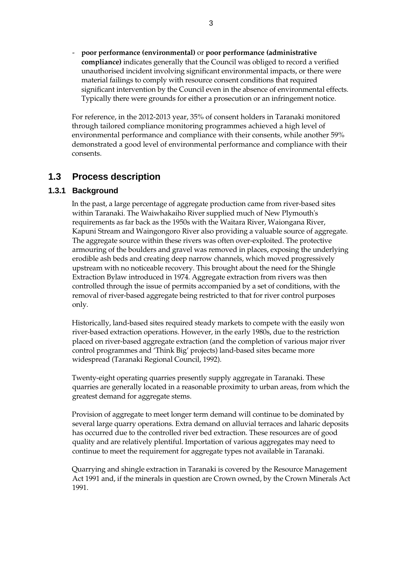- **poor performance (environmental)** or **poor performance (administrative compliance)** indicates generally that the Council was obliged to record a verified unauthorised incident involving significant environmental impacts, or there were material failings to comply with resource consent conditions that required significant intervention by the Council even in the absence of environmental effects. Typically there were grounds for either a prosecution or an infringement notice.

For reference, in the 2012-2013 year, 35% of consent holders in Taranaki monitored through tailored compliance monitoring programmes achieved a high level of environmental performance and compliance with their consents, while another 59% demonstrated a good level of environmental performance and compliance with their consents.

# **1.3 Process description**

## **1.3.1 Background**

 In the past, a large percentage of aggregate production came from river-based sites within Taranaki. The Waiwhakaiho River supplied much of New Plymouth's requirements as far back as the 1950s with the Waitara River, Waiongana River, Kapuni Stream and Waingongoro River also providing a valuable source of aggregate. The aggregate source within these rivers was often over-exploited. The protective armouring of the boulders and gravel was removed in places, exposing the underlying erodible ash beds and creating deep narrow channels, which moved progressively upstream with no noticeable recovery. This brought about the need for the Shingle Extraction Bylaw introduced in 1974. Aggregate extraction from rivers was then controlled through the issue of permits accompanied by a set of conditions, with the removal of river-based aggregate being restricted to that for river control purposes only.

 Historically, land-based sites required steady markets to compete with the easily won river-based extraction operations. However, in the early 1980s, due to the restriction placed on river-based aggregate extraction (and the completion of various major river control programmes and 'Think Big' projects) land-based sites became more widespread (Taranaki Regional Council, 1992).

 Twenty-eight operating quarries presently supply aggregate in Taranaki. These quarries are generally located in a reasonable proximity to urban areas, from which the greatest demand for aggregate stems.

Provision of aggregate to meet longer term demand will continue to be dominated by several large quarry operations. Extra demand on alluvial terraces and laharic deposits has occurred due to the controlled river bed extraction. These resources are of good quality and are relatively plentiful. Importation of various aggregates may need to continue to meet the requirement for aggregate types not available in Taranaki.

 Quarrying and shingle extraction in Taranaki is covered by the Resource Management Act 1991 and, if the minerals in question are Crown owned, by the Crown Minerals Act 1991.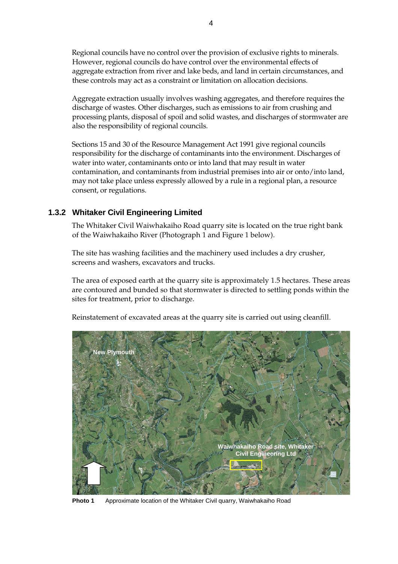Regional councils have no control over the provision of exclusive rights to minerals. However, regional councils do have control over the environmental effects of aggregate extraction from river and lake beds, and land in certain circumstances, and these controls may act as a constraint or limitation on allocation decisions.

 Aggregate extraction usually involves washing aggregates, and therefore requires the discharge of wastes. Other discharges, such as emissions to air from crushing and processing plants, disposal of spoil and solid wastes, and discharges of stormwater are also the responsibility of regional councils.

 Sections 15 and 30 of the Resource Management Act 1991 give regional councils responsibility for the discharge of contaminants into the environment. Discharges of water into water, contaminants onto or into land that may result in water contamination, and contaminants from industrial premises into air or onto/into land, may not take place unless expressly allowed by a rule in a regional plan, a resource consent, or regulations.

## **1.3.2 Whitaker Civil Engineering Limited**

 The Whitaker Civil Waiwhakaiho Road quarry site is located on the true right bank of the Waiwhakaiho River (Photograph 1 and Figure 1 below).

The site has washing facilities and the machinery used includes a dry crusher, screens and washers, excavators and trucks.

The area of exposed earth at the quarry site is approximately 1.5 hectares. These areas are contoured and bunded so that stormwater is directed to settling ponds within the sites for treatment, prior to discharge.

Reinstatement of excavated areas at the quarry site is carried out using cleanfill.



**Photo 1** Approximate location of the Whitaker Civil quarry, Waiwhakaiho Road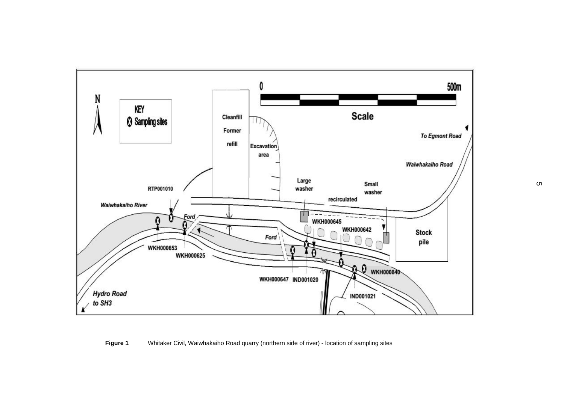

#### **Figure 1** Whitaker Civil, Waiwhakaiho Road quarry (northern side of river) - location of sampling sites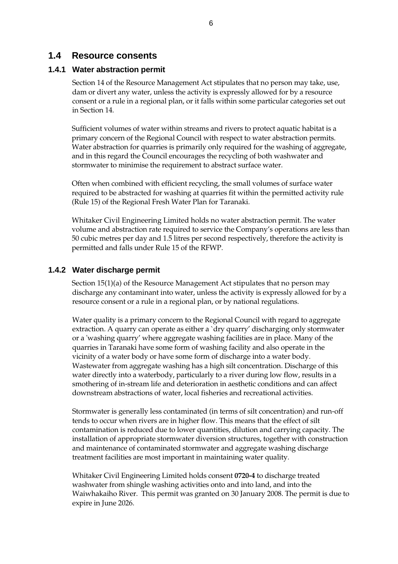## **1.4 Resource consents**

### **1.4.1 Water abstraction permit**

Section 14 of the Resource Management Act stipulates that no person may take, use, dam or divert any water, unless the activity is expressly allowed for by a resource consent or a rule in a regional plan, or it falls within some particular categories set out in Section 14.

Sufficient volumes of water within streams and rivers to protect aquatic habitat is a primary concern of the Regional Council with respect to water abstraction permits. Water abstraction for quarries is primarily only required for the washing of aggregate, and in this regard the Council encourages the recycling of both washwater and stormwater to minimise the requirement to abstract surface water.

Often when combined with efficient recycling, the small volumes of surface water required to be abstracted for washing at quarries fit within the permitted activity rule (Rule 15) of the Regional Fresh Water Plan for Taranaki.

Whitaker Civil Engineering Limited holds no water abstraction permit. The water volume and abstraction rate required to service the Company's operations are less than 50 cubic metres per day and 1.5 litres per second respectively, therefore the activity is permitted and falls under Rule 15 of the RFWP.

### **1.4.2 Water discharge permit**

Section 15(1)(a) of the Resource Management Act stipulates that no person may discharge any contaminant into water, unless the activity is expressly allowed for by a resource consent or a rule in a regional plan, or by national regulations.

 Water quality is a primary concern to the Regional Council with regard to aggregate extraction. A quarry can operate as either a `dry quarry' discharging only stormwater or a 'washing quarry' where aggregate washing facilities are in place. Many of the quarries in Taranaki have some form of washing facility and also operate in the vicinity of a water body or have some form of discharge into a water body. Wastewater from aggregate washing has a high silt concentration. Discharge of this water directly into a waterbody, particularly to a river during low flow, results in a smothering of in-stream life and deterioration in aesthetic conditions and can affect downstream abstractions of water, local fisheries and recreational activities.

Stormwater is generally less contaminated (in terms of silt concentration) and run-off tends to occur when rivers are in higher flow. This means that the effect of silt contamination is reduced due to lower quantities, dilution and carrying capacity. The installation of appropriate stormwater diversion structures, together with construction and maintenance of contaminated stormwater and aggregate washing discharge treatment facilities are most important in maintaining water quality.

Whitaker Civil Engineering Limited holds consent **0720-4** to discharge treated washwater from shingle washing activities onto and into land, and into the Waiwhakaiho River. This permit was granted on 30 January 2008. The permit is due to expire in June 2026.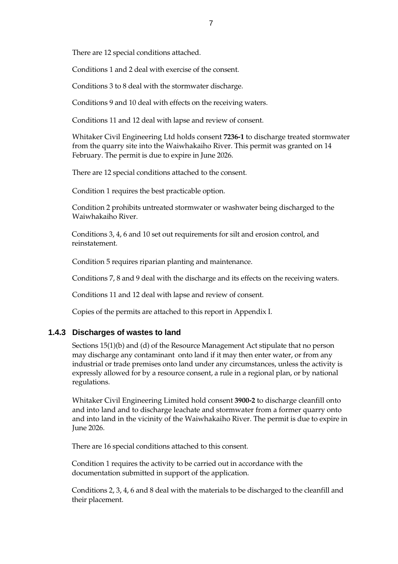There are 12 special conditions attached.

Conditions 1 and 2 deal with exercise of the consent.

Conditions 3 to 8 deal with the stormwater discharge.

Conditions 9 and 10 deal with effects on the receiving waters.

Conditions 11 and 12 deal with lapse and review of consent.

Whitaker Civil Engineering Ltd holds consent **7236-1** to discharge treated stormwater from the quarry site into the Waiwhakaiho River. This permit was granted on 14 February. The permit is due to expire in June 2026.

There are 12 special conditions attached to the consent.

Condition 1 requires the best practicable option.

Condition 2 prohibits untreated stormwater or washwater being discharged to the Waiwhakaiho River.

Conditions 3, 4, 6 and 10 set out requirements for silt and erosion control, and reinstatement.

Condition 5 requires riparian planting and maintenance.

Conditions 7, 8 and 9 deal with the discharge and its effects on the receiving waters.

Conditions 11 and 12 deal with lapse and review of consent.

Copies of the permits are attached to this report in Appendix I.

### **1.4.3 Discharges of wastes to land**

Sections 15(1)(b) and (d) of the Resource Management Act stipulate that no person may discharge any contaminant onto land if it may then enter water, or from any industrial or trade premises onto land under any circumstances, unless the activity is expressly allowed for by a resource consent, a rule in a regional plan, or by national regulations.

Whitaker Civil Engineering Limited hold consent **3900-2** to discharge cleanfill onto and into land and to discharge leachate and stormwater from a former quarry onto and into land in the vicinity of the Waiwhakaiho River. The permit is due to expire in June 2026.

There are 16 special conditions attached to this consent.

Condition 1 requires the activity to be carried out in accordance with the documentation submitted in support of the application.

Conditions 2, 3, 4, 6 and 8 deal with the materials to be discharged to the cleanfill and their placement.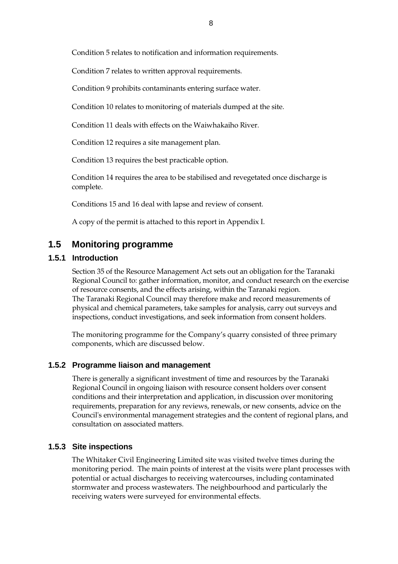Condition 5 relates to notification and information requirements.

Condition 7 relates to written approval requirements.

Condition 9 prohibits contaminants entering surface water.

Condition 10 relates to monitoring of materials dumped at the site.

Condition 11 deals with effects on the Waiwhakaiho River.

Condition 12 requires a site management plan.

Condition 13 requires the best practicable option.

Condition 14 requires the area to be stabilised and revegetated once discharge is complete.

Conditions 15 and 16 deal with lapse and review of consent.

A copy of the permit is attached to this report in Appendix I.

# **1.5 Monitoring programme**

### **1.5.1 Introduction**

Section 35 of the Resource Management Act sets out an obligation for the Taranaki Regional Council to: gather information, monitor, and conduct research on the exercise of resource consents, and the effects arising, within the Taranaki region. The Taranaki Regional Council may therefore make and record measurements of physical and chemical parameters, take samples for analysis, carry out surveys and inspections, conduct investigations, and seek information from consent holders.

The monitoring programme for the Company's quarry consisted of three primary components, which are discussed below.

### **1.5.2 Programme liaison and management**

There is generally a significant investment of time and resources by the Taranaki Regional Council in ongoing liaison with resource consent holders over consent conditions and their interpretation and application, in discussion over monitoring requirements, preparation for any reviews, renewals, or new consents, advice on the Council's environmental management strategies and the content of regional plans, and consultation on associated matters.

### **1.5.3 Site inspections**

The Whitaker Civil Engineering Limited site was visited twelve times during the monitoring period. The main points of interest at the visits were plant processes with potential or actual discharges to receiving watercourses, including contaminated stormwater and process wastewaters. The neighbourhood and particularly the receiving waters were surveyed for environmental effects.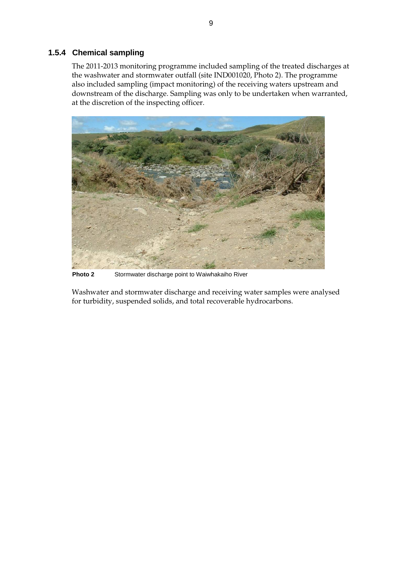### **1.5.4 Chemical sampling**

The 2011-2013 monitoring programme included sampling of the treated discharges at the washwater and stormwater outfall (site IND001020, Photo 2). The programme also included sampling (impact monitoring) of the receiving waters upstream and downstream of the discharge. Sampling was only to be undertaken when warranted, at the discretion of the inspecting officer.

![](_page_14_Picture_2.jpeg)

**Photo 2** Stormwater discharge point to Waiwhakaiho River

Washwater and stormwater discharge and receiving water samples were analysed for turbidity, suspended solids, and total recoverable hydrocarbons.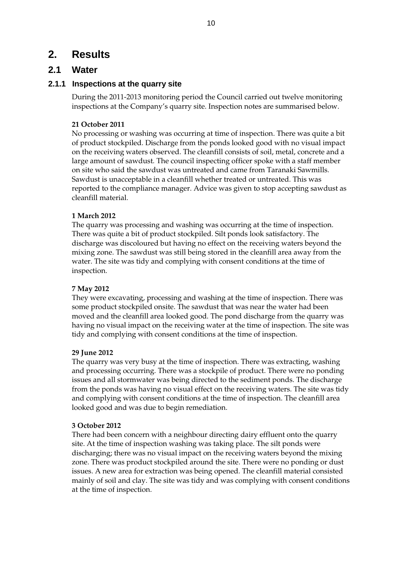# **2. Results**

## **2.1 Water**

## **2.1.1 Inspections at the quarry site**

During the 2011-2013 monitoring period the Council carried out twelve monitoring inspections at the Company's quarry site. Inspection notes are summarised below.

### **21 October 2011**

No processing or washing was occurring at time of inspection. There was quite a bit of product stockpiled. Discharge from the ponds looked good with no visual impact on the receiving waters observed. The cleanfill consists of soil, metal, concrete and a large amount of sawdust. The council inspecting officer spoke with a staff member on site who said the sawdust was untreated and came from Taranaki Sawmills. Sawdust is unacceptable in a cleanfill whether treated or untreated. This was reported to the compliance manager. Advice was given to stop accepting sawdust as cleanfill material.

### **1 March 2012**

The quarry was processing and washing was occurring at the time of inspection. There was quite a bit of product stockpiled. Silt ponds look satisfactory. The discharge was discoloured but having no effect on the receiving waters beyond the mixing zone. The sawdust was still being stored in the cleanfill area away from the water. The site was tidy and complying with consent conditions at the time of inspection.

### **7 May 2012**

They were excavating, processing and washing at the time of inspection. There was some product stockpiled onsite. The sawdust that was near the water had been moved and the cleanfill area looked good. The pond discharge from the quarry was having no visual impact on the receiving water at the time of inspection. The site was tidy and complying with consent conditions at the time of inspection.

### **29 June 2012**

The quarry was very busy at the time of inspection. There was extracting, washing and processing occurring. There was a stockpile of product. There were no ponding issues and all stormwater was being directed to the sediment ponds. The discharge from the ponds was having no visual effect on the receiving waters. The site was tidy and complying with consent conditions at the time of inspection. The cleanfill area looked good and was due to begin remediation.

### **3 October 2012**

There had been concern with a neighbour directing dairy effluent onto the quarry site. At the time of inspection washing was taking place. The silt ponds were discharging; there was no visual impact on the receiving waters beyond the mixing zone. There was product stockpiled around the site. There were no ponding or dust issues. A new area for extraction was being opened. The cleanfill material consisted mainly of soil and clay. The site was tidy and was complying with consent conditions at the time of inspection.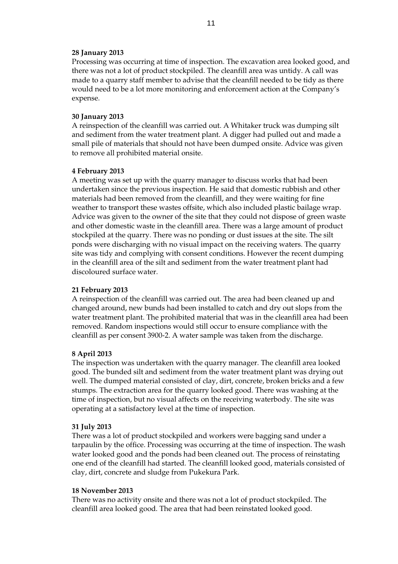#### **28 January 2013**

Processing was occurring at time of inspection. The excavation area looked good, and there was not a lot of product stockpiled. The cleanfill area was untidy. A call was made to a quarry staff member to advise that the cleanfill needed to be tidy as there would need to be a lot more monitoring and enforcement action at the Company's expense.

#### **30 January 2013**

A reinspection of the cleanfill was carried out. A Whitaker truck was dumping silt and sediment from the water treatment plant. A digger had pulled out and made a small pile of materials that should not have been dumped onsite. Advice was given to remove all prohibited material onsite.

#### **4 February 2013**

A meeting was set up with the quarry manager to discuss works that had been undertaken since the previous inspection. He said that domestic rubbish and other materials had been removed from the cleanfill, and they were waiting for fine weather to transport these wastes offsite, which also included plastic bailage wrap. Advice was given to the owner of the site that they could not dispose of green waste and other domestic waste in the cleanfill area. There was a large amount of product stockpiled at the quarry. There was no ponding or dust issues at the site. The silt ponds were discharging with no visual impact on the receiving waters. The quarry site was tidy and complying with consent conditions. However the recent dumping in the cleanfill area of the silt and sediment from the water treatment plant had discoloured surface water.

#### **21 February 2013**

A reinspection of the cleanfill was carried out. The area had been cleaned up and changed around, new bunds had been installed to catch and dry out slops from the water treatment plant. The prohibited material that was in the cleanfill area had been removed. Random inspections would still occur to ensure compliance with the cleanfill as per consent 3900-2. A water sample was taken from the discharge.

#### **8 April 2013**

The inspection was undertaken with the quarry manager. The cleanfill area looked good. The bunded silt and sediment from the water treatment plant was drying out well. The dumped material consisted of clay, dirt, concrete, broken bricks and a few stumps. The extraction area for the quarry looked good. There was washing at the time of inspection, but no visual affects on the receiving waterbody. The site was operating at a satisfactory level at the time of inspection.

#### **31 July 2013**

There was a lot of product stockpiled and workers were bagging sand under a tarpaulin by the office. Processing was occurring at the time of inspection. The wash water looked good and the ponds had been cleaned out. The process of reinstating one end of the cleanfill had started. The cleanfill looked good, materials consisted of clay, dirt, concrete and sludge from Pukekura Park.

#### **18 November 2013**

There was no activity onsite and there was not a lot of product stockpiled. The cleanfill area looked good. The area that had been reinstated looked good.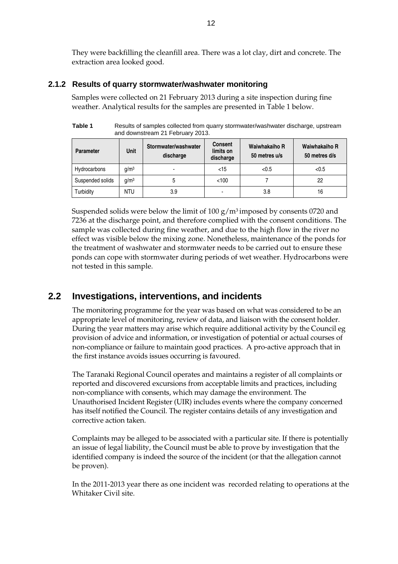They were backfilling the cleanfill area. There was a lot clay, dirt and concrete. The extraction area looked good.

### **2.1.2 Results of quarry stormwater/washwater monitoring**

Samples were collected on 21 February 2013 during a site inspection during fine weather. Analytical results for the samples are presented in Table 1 below.

**Table 1** Results of samples collected from quarry stormwater/washwater discharge, upstream and downstream 21 February 2013.

| <b>Parameter</b> | <b>Unit</b>      | Stormwater/washwater<br>discharge | <b>Consent</b><br>limits on<br>discharge | Waiwhakaiho R<br>50 metres u/s | Waiwhakaiho R<br>50 metres d/s |
|------------------|------------------|-----------------------------------|------------------------------------------|--------------------------------|--------------------------------|
| Hydrocarbons     | q/m <sup>3</sup> |                                   | $<$ 15                                   | < 0.5                          | < 0.5                          |
| Suspended solids | a/m <sup>3</sup> |                                   | < 100                                    |                                | 22                             |
| Turbidity        | NTU              | 3.9                               |                                          | 3.8                            | 16                             |

Suspended solids were below the limit of 100  $g/m<sup>3</sup>$  imposed by consents 0720 and 7236 at the discharge point, and therefore complied with the consent conditions. The sample was collected during fine weather, and due to the high flow in the river no effect was visible below the mixing zone. Nonetheless, maintenance of the ponds for the treatment of washwater and stormwater needs to be carried out to ensure these ponds can cope with stormwater during periods of wet weather. Hydrocarbons were not tested in this sample.

# **2.2 Investigations, interventions, and incidents**

The monitoring programme for the year was based on what was considered to be an appropriate level of monitoring, review of data, and liaison with the consent holder. During the year matters may arise which require additional activity by the Council eg provision of advice and information, or investigation of potential or actual courses of non-compliance or failure to maintain good practices. A pro-active approach that in the first instance avoids issues occurring is favoured.

The Taranaki Regional Council operates and maintains a register of all complaints or reported and discovered excursions from acceptable limits and practices, including non-compliance with consents, which may damage the environment. The Unauthorised Incident Register (UIR) includes events where the company concerned has itself notified the Council. The register contains details of any investigation and corrective action taken.

Complaints may be alleged to be associated with a particular site. If there is potentially an issue of legal liability, the Council must be able to prove by investigation that the identified company is indeed the source of the incident (or that the allegation cannot be proven).

In the 2011-2013 year there as one incident was recorded relating to operations at the Whitaker Civil site.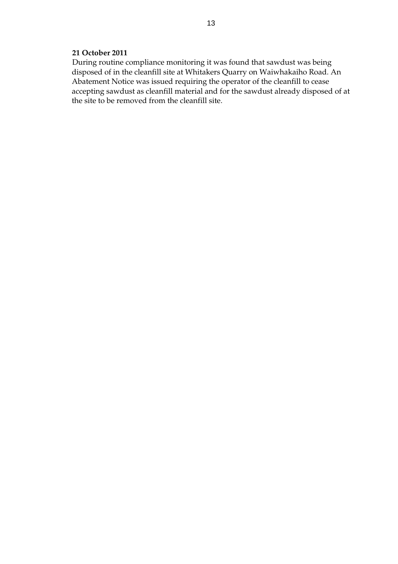#### **21 October 2011**

During routine compliance monitoring it was found that sawdust was being disposed of in the cleanfill site at Whitakers Quarry on Waiwhakaiho Road. An Abatement Notice was issued requiring the operator of the cleanfill to cease accepting sawdust as cleanfill material and for the sawdust already disposed of at the site to be removed from the cleanfill site.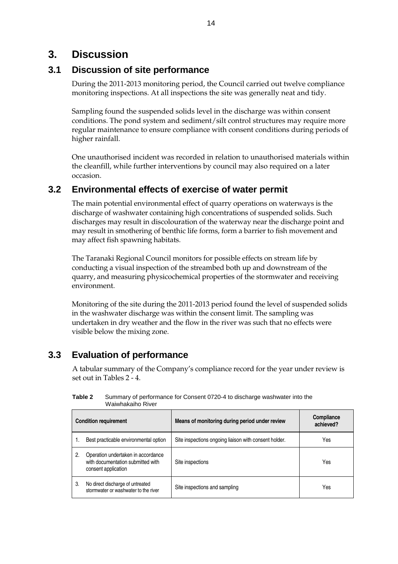# **3. Discussion**

# **3.1 Discussion of site performance**

During the 2011-2013 monitoring period, the Council carried out twelve compliance monitoring inspections. At all inspections the site was generally neat and tidy.

Sampling found the suspended solids level in the discharge was within consent conditions. The pond system and sediment/silt control structures may require more regular maintenance to ensure compliance with consent conditions during periods of higher rainfall.

One unauthorised incident was recorded in relation to unauthorised materials within the cleanfill, while further interventions by council may also required on a later occasion.

# **3.2 Environmental effects of exercise of water permit**

The main potential environmental effect of quarry operations on waterways is the discharge of washwater containing high concentrations of suspended solids. Such discharges may result in discolouration of the waterway near the discharge point and may result in smothering of benthic life forms, form a barrier to fish movement and may affect fish spawning habitats.

The Taranaki Regional Council monitors for possible effects on stream life by conducting a visual inspection of the streambed both up and downstream of the quarry, and measuring physicochemical properties of the stormwater and receiving environment.

Monitoring of the site during the 2011-2013 period found the level of suspended solids in the washwater discharge was within the consent limit. The sampling was undertaken in dry weather and the flow in the river was such that no effects were visible below the mixing zone.

# **3.3 Evaluation of performance**

A tabular summary of the Company's compliance record for the year under review is set out in Tables 2 - 4.

| <b>Condition requirement</b> |                                                                                                | Means of monitoring during period under review        | Compliance<br>achieved? |
|------------------------------|------------------------------------------------------------------------------------------------|-------------------------------------------------------|-------------------------|
|                              | Best practicable environmental option                                                          | Site inspections ongoing liaison with consent holder. | Yes                     |
| 2.                           | Operation undertaken in accordance<br>with documentation submitted with<br>consent application | Site inspections                                      | Yes                     |
| 3.                           | No direct discharge of untreated<br>stormwater or washwater to the river                       | Site inspections and sampling                         | Yes                     |

**Table 2** Summary of performance for Consent 0720-4 to discharge washwater into the Waiwhakaiho River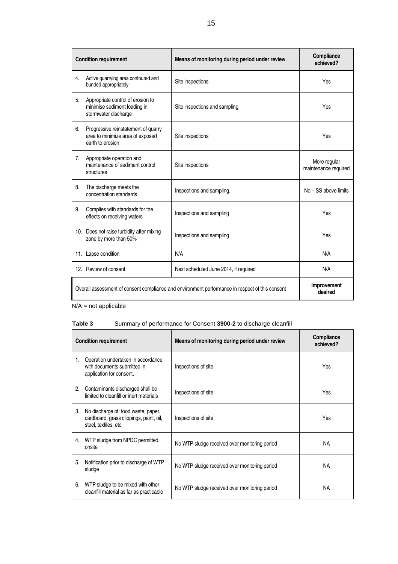|    | <b>Condition requirement</b>                                                                | Means of monitoring during period under review                                                  | Compliance<br>achieved?              |
|----|---------------------------------------------------------------------------------------------|-------------------------------------------------------------------------------------------------|--------------------------------------|
| 4. | Active quarrying area contoured and<br>bunded appropriately                                 | Site inspections                                                                                | Yes                                  |
| 5. | Appropriate control of erosion to<br>minimise sediment loading in<br>stormwater discharge   | Site inspections and sampling                                                                   | Yes                                  |
| 6. | Progressive reinstatement of quarry<br>area to minimize area of exposed<br>earth to erosion | Site inspections                                                                                | Yes                                  |
| 7. | Appropriate operation and<br>maintenance of sediment control<br>structures                  | Site inspections                                                                                | More regular<br>maintenance required |
| 8. | The discharge meets the<br>concentration standards                                          | Inspections and sampling.                                                                       | No - SS above limits                 |
| 9. | Complies with standards for the<br>effects on receiving waters                              | Inspections and sampling                                                                        | Yes                                  |
|    | 10. Does not raise turbidity after mixing<br>zone by more than 50%                          | Inspections and sampling                                                                        | Yes                                  |
|    | 11. Lapse condition                                                                         | N/A                                                                                             | N/A                                  |
|    | 12. Review of consent                                                                       | Next scheduled June 2014, if required                                                           | N/A                                  |
|    |                                                                                             | Overall assessment of consent compliance and environment performance in respect of this consent | Improvement<br>desired               |

N/A = not applicable

### **Table 3** Summary of performance for Consent **3900-2** to discharge cleanfill

|    | <b>Condition requirement</b>                                                                           | Means of monitoring during period under review | <b>Compliance</b><br>achieved? |
|----|--------------------------------------------------------------------------------------------------------|------------------------------------------------|--------------------------------|
| 1. | Operation undertaken in accordance<br>with documents submitted in<br>application for consent.          | Inspections of site                            | Yes                            |
| 2. | Contaminants discharged shall be<br>limited to cleanfill or inert materials                            | Inspections of site                            | Yes                            |
| 3. | No discharge of: food waste, paper,<br>cardboard, grass clippings, paint, oil,<br>steel, textiles, etc | Inspections of site                            | Yes                            |
| 4. | WTP sludge from NPDC permitted<br>onsite                                                               | No WTP sludge received over monitoring period  | <b>NA</b>                      |
| 5. | Notification prior to discharge of WTP<br>sludge                                                       | No WTP sludge received over monitoring period  | <b>NA</b>                      |
| 6. | WTP sludge to be mixed with other<br>cleanfill material as far as practicable                          | No WTP sludge received over monitoring period  | <b>NA</b>                      |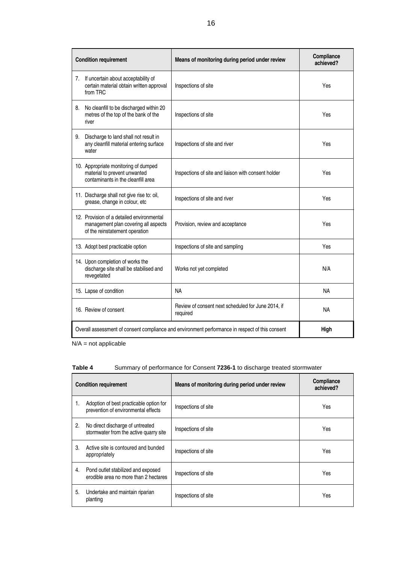| <b>Condition requirement</b>                                                                                        | Means of monitoring during period under review                                                  | Compliance<br>achieved? |
|---------------------------------------------------------------------------------------------------------------------|-------------------------------------------------------------------------------------------------|-------------------------|
| If uncertain about acceptability of<br>7.<br>certain material obtain written approval<br>from TRC                   | Inspections of site                                                                             | Yes                     |
| No cleanfill to be discharged within 20<br>8.<br>metres of the top of the bank of the<br>river                      | Inspections of site                                                                             | Yes                     |
| Discharge to land shall not result in<br>9.<br>any cleanfill material entering surface<br>water                     | Inspections of site and river                                                                   | Yes                     |
| 10. Appropriate monitoring of dumped<br>material to prevent unwanted<br>contaminants in the cleanfill area          | Inspections of site and liaison with consent holder                                             | Yes                     |
| 11. Discharge shall not give rise to: oil,<br>grease, change in colour, etc                                         | Inspections of site and river                                                                   | Yes                     |
| 12. Provision of a detailed environmental<br>management plan covering all aspects<br>of the reinstatement operation | Provision, review and acceptance                                                                | Yes                     |
| 13. Adopt best practicable option                                                                                   | Inspections of site and sampling                                                                | Yes                     |
| 14. Upon completion of works the<br>discharge site shall be stabilised and<br>revegetated                           | Works not yet completed                                                                         | N/A                     |
| 15. Lapse of condition                                                                                              | <b>NA</b>                                                                                       | <b>NA</b>               |
| 16. Review of consent                                                                                               | Review of consent next scheduled for June 2014, if<br>required                                  | <b>NA</b>               |
|                                                                                                                     | Overall assessment of consent compliance and environment performance in respect of this consent | High                    |

N/A = not applicable

| Table 4 | Summary of performance for Consent 7236-1 to discharge treated stormwater |  |
|---------|---------------------------------------------------------------------------|--|
|---------|---------------------------------------------------------------------------|--|

| <b>Condition requirement</b> |                                                                                | Means of monitoring during period under review | Compliance<br>achieved? |
|------------------------------|--------------------------------------------------------------------------------|------------------------------------------------|-------------------------|
| 1.                           | Adoption of best practicable option for<br>prevention of environmental effects | Inspections of site                            | Yes                     |
| 2.                           | No direct discharge of untreated<br>stormwater from the active quarry site     | Inspections of site                            | Yes                     |
| 3.                           | Active site is contoured and bunded<br>appropriately                           | Inspections of site                            | Yes                     |
| 4.                           | Pond outlet stabilized and exposed<br>erodible area no more than 2 hectares    | Inspections of site                            | Yes                     |
| 5.                           | Undertake and maintain riparian<br>planting                                    | Inspections of site                            | Yes                     |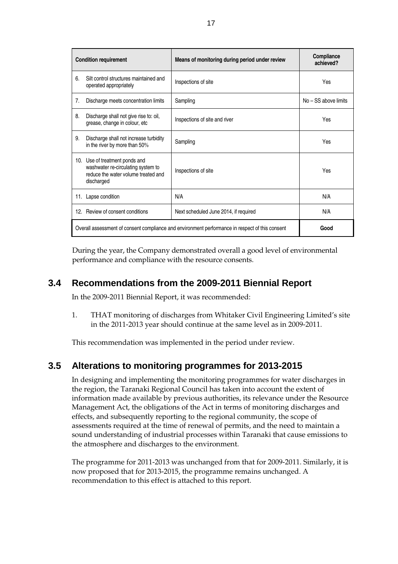|     | <b>Condition requirement</b>                                                                                          | Means of monitoring during period under review                                                  | Compliance<br>achieved? |
|-----|-----------------------------------------------------------------------------------------------------------------------|-------------------------------------------------------------------------------------------------|-------------------------|
| 6.  | Silt control structures maintained and<br>operated appropriately                                                      | Inspections of site                                                                             | Yes                     |
| 7.  | Discharge meets concentration limits                                                                                  | Sampling                                                                                        | $No - SS$ above limits  |
| 8.  | Discharge shall not give rise to: oil,<br>grease, change in colour, etc                                               | Inspections of site and river                                                                   | Yes                     |
| 9.  | Discharge shall not increase turbidity<br>in the river by more than 50%                                               | Sampling                                                                                        | Yes                     |
| 10. | Use of treatment ponds and<br>washwater re-circulating system to<br>reduce the water volume treated and<br>discharged | Inspections of site                                                                             | Yes                     |
|     | 11. Lapse condition                                                                                                   | N/A                                                                                             | N/A                     |
| 12. | Review of consent conditions                                                                                          | Next scheduled June 2014, if required                                                           | N/A                     |
|     |                                                                                                                       | Overall assessment of consent compliance and environment performance in respect of this consent | Good                    |

During the year, the Company demonstrated overall a good level of environmental performance and compliance with the resource consents.

# **3.4 Recommendations from the 2009-2011 Biennial Report**

In the 2009-2011 Biennial Report, it was recommended:

1. THAT monitoring of discharges from Whitaker Civil Engineering Limited's site in the 2011-2013 year should continue at the same level as in 2009-2011.

This recommendation was implemented in the period under review.

# **3.5 Alterations to monitoring programmes for 2013-2015**

In designing and implementing the monitoring programmes for water discharges in the region, the Taranaki Regional Council has taken into account the extent of information made available by previous authorities, its relevance under the Resource Management Act, the obligations of the Act in terms of monitoring discharges and effects, and subsequently reporting to the regional community, the scope of assessments required at the time of renewal of permits, and the need to maintain a sound understanding of industrial processes within Taranaki that cause emissions to the atmosphere and discharges to the environment.

The programme for 2011-2013 was unchanged from that for 2009-2011. Similarly, it is now proposed that for 2013-2015, the programme remains unchanged. A recommendation to this effect is attached to this report.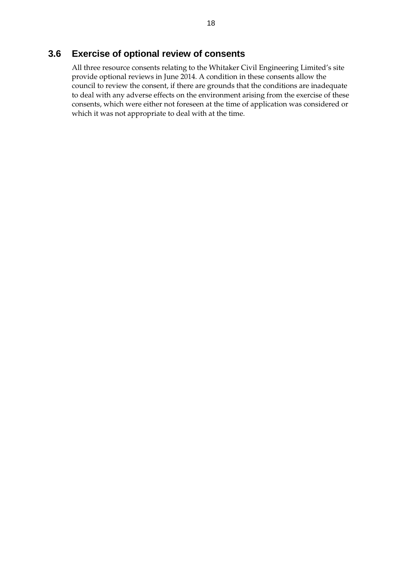# **3.6 Exercise of optional review of consents**

All three resource consents relating to the Whitaker Civil Engineering Limited's site provide optional reviews in June 2014. A condition in these consents allow the council to review the consent, if there are grounds that the conditions are inadequate to deal with any adverse effects on the environment arising from the exercise of these consents, which were either not foreseen at the time of application was considered or which it was not appropriate to deal with at the time.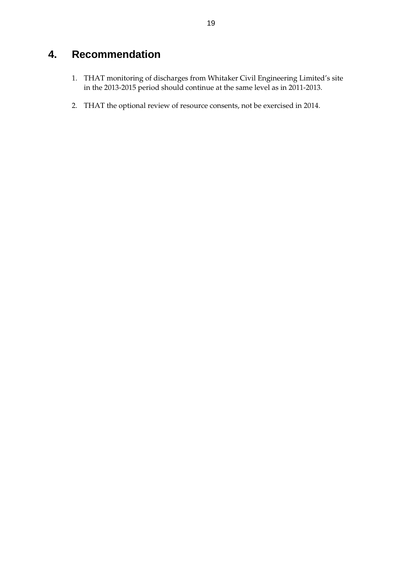# **4. Recommendation**

- 1. THAT monitoring of discharges from Whitaker Civil Engineering Limited's site in the 2013-2015 period should continue at the same level as in 2011-2013.
- 2. THAT the optional review of resource consents, not be exercised in 2014.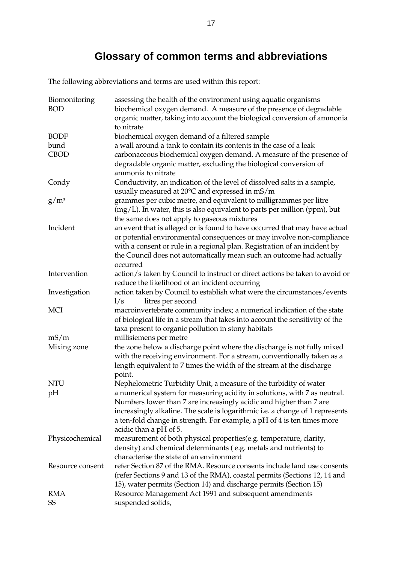# **Glossary of common terms and abbreviations**

The following abbreviations and terms are used within this report:

| Biomonitoring<br><b>BOD</b> | assessing the health of the environment using aquatic organisms<br>biochemical oxygen demand. A measure of the presence of degradable<br>organic matter, taking into account the biological conversion of ammonia |
|-----------------------------|-------------------------------------------------------------------------------------------------------------------------------------------------------------------------------------------------------------------|
|                             | to nitrate                                                                                                                                                                                                        |
| <b>BODF</b>                 | biochemical oxygen demand of a filtered sample                                                                                                                                                                    |
| bund                        | a wall around a tank to contain its contents in the case of a leak                                                                                                                                                |
| <b>CBOD</b>                 | carbonaceous biochemical oxygen demand. A measure of the presence of<br>degradable organic matter, excluding the biological conversion of                                                                         |
|                             | ammonia to nitrate                                                                                                                                                                                                |
| Condy                       | Conductivity, an indication of the level of dissolved salts in a sample,                                                                                                                                          |
|                             | usually measured at 20°C and expressed in mS/m                                                                                                                                                                    |
| $g/m^3$                     | grammes per cubic metre, and equivalent to milligrammes per litre<br>$(mg/L)$ . In water, this is also equivalent to parts per million (ppm), but                                                                 |
|                             | the same does not apply to gaseous mixtures                                                                                                                                                                       |
| Incident                    | an event that is alleged or is found to have occurred that may have actual                                                                                                                                        |
|                             | or potential environmental consequences or may involve non-compliance                                                                                                                                             |
|                             | with a consent or rule in a regional plan. Registration of an incident by                                                                                                                                         |
|                             | the Council does not automatically mean such an outcome had actually<br>occurred                                                                                                                                  |
| Intervention                | action/s taken by Council to instruct or direct actions be taken to avoid or                                                                                                                                      |
|                             | reduce the likelihood of an incident occurring                                                                                                                                                                    |
| Investigation               | action taken by Council to establish what were the circumstances/events                                                                                                                                           |
|                             | 1/s<br>litres per second                                                                                                                                                                                          |
| <b>MCI</b>                  | macroinvertebrate community index; a numerical indication of the state                                                                                                                                            |
|                             | of biological life in a stream that takes into account the sensitivity of the                                                                                                                                     |
|                             | taxa present to organic pollution in stony habitats                                                                                                                                                               |
| mS/m                        | millisiemens per metre                                                                                                                                                                                            |
| Mixing zone                 | the zone below a discharge point where the discharge is not fully mixed                                                                                                                                           |
|                             | with the receiving environment. For a stream, conventionally taken as a                                                                                                                                           |
|                             | length equivalent to 7 times the width of the stream at the discharge                                                                                                                                             |
|                             | point.                                                                                                                                                                                                            |
| <b>NTU</b>                  | Nephelometric Turbidity Unit, a measure of the turbidity of water                                                                                                                                                 |
| pH                          | a numerical system for measuring acidity in solutions, with 7 as neutral.                                                                                                                                         |
|                             | Numbers lower than 7 are increasingly acidic and higher than 7 are                                                                                                                                                |
|                             | increasingly alkaline. The scale is logarithmic i.e. a change of 1 represents                                                                                                                                     |
|                             | a ten-fold change in strength. For example, a pH of 4 is ten times more                                                                                                                                           |
|                             | acidic than a pH of 5.                                                                                                                                                                                            |
| Physicochemical             | measurement of both physical properties(e.g. temperature, clarity,                                                                                                                                                |
|                             | density) and chemical determinants (e.g. metals and nutrients) to                                                                                                                                                 |
|                             | characterise the state of an environment                                                                                                                                                                          |
| Resource consent            | refer Section 87 of the RMA. Resource consents include land use consents                                                                                                                                          |
|                             | (refer Sections 9 and 13 of the RMA), coastal permits (Sections 12, 14 and                                                                                                                                        |
|                             | 15), water permits (Section 14) and discharge permits (Section 15)                                                                                                                                                |
| <b>RMA</b>                  | Resource Management Act 1991 and subsequent amendments                                                                                                                                                            |
| SS                          | suspended solids,                                                                                                                                                                                                 |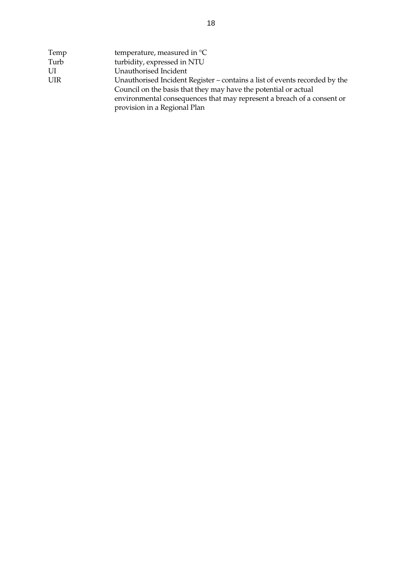| Temp | temperature, measured in $^{\circ}C$                                       |
|------|----------------------------------------------------------------------------|
| Turb | turbidity, expressed in NTU                                                |
| UI   | Unauthorised Incident                                                      |
| UIR  | Unauthorised Incident Register – contains a list of events recorded by the |
|      | Council on the basis that they may have the potential or actual            |
|      | environmental consequences that may represent a breach of a consent or     |
|      | provision in a Regional Plan                                               |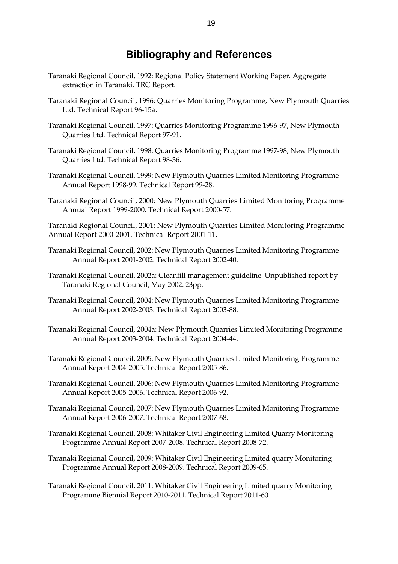# **Bibliography and References**

- Taranaki Regional Council, 1992: Regional Policy Statement Working Paper. Aggregate extraction in Taranaki. TRC Report.
- Taranaki Regional Council, 1996: Quarries Monitoring Programme, New Plymouth Quarries Ltd. Technical Report 96-15a.
- Taranaki Regional Council, 1997: Quarries Monitoring Programme 1996-97, New Plymouth Quarries Ltd. Technical Report 97-91.
- Taranaki Regional Council, 1998: Quarries Monitoring Programme 1997-98, New Plymouth Quarries Ltd. Technical Report 98-36.
- Taranaki Regional Council, 1999: New Plymouth Quarries Limited Monitoring Programme Annual Report 1998-99. Technical Report 99-28.
- Taranaki Regional Council, 2000: New Plymouth Quarries Limited Monitoring Programme Annual Report 1999-2000. Technical Report 2000-57.

Taranaki Regional Council, 2001: New Plymouth Quarries Limited Monitoring Programme Annual Report 2000-2001. Technical Report 2001-11.

- Taranaki Regional Council, 2002: New Plymouth Quarries Limited Monitoring Programme Annual Report 2001-2002. Technical Report 2002-40.
- Taranaki Regional Council, 2002a: Cleanfill management guideline. Unpublished report by Taranaki Regional Council, May 2002. 23pp.
- Taranaki Regional Council, 2004: New Plymouth Quarries Limited Monitoring Programme Annual Report 2002-2003. Technical Report 2003-88.
- Taranaki Regional Council, 2004a: New Plymouth Quarries Limited Monitoring Programme Annual Report 2003-2004. Technical Report 2004-44.
- Taranaki Regional Council, 2005: New Plymouth Quarries Limited Monitoring Programme Annual Report 2004-2005. Technical Report 2005-86.
- Taranaki Regional Council, 2006: New Plymouth Quarries Limited Monitoring Programme Annual Report 2005-2006. Technical Report 2006-92.
- Taranaki Regional Council, 2007: New Plymouth Quarries Limited Monitoring Programme Annual Report 2006-2007. Technical Report 2007-68.
- Taranaki Regional Council, 2008: Whitaker Civil Engineering Limited Quarry Monitoring Programme Annual Report 2007-2008. Technical Report 2008-72.
- Taranaki Regional Council, 2009: Whitaker Civil Engineering Limited quarry Monitoring Programme Annual Report 2008-2009. Technical Report 2009-65.
- Taranaki Regional Council, 2011: Whitaker Civil Engineering Limited quarry Monitoring Programme Biennial Report 2010-2011. Technical Report 2011-60.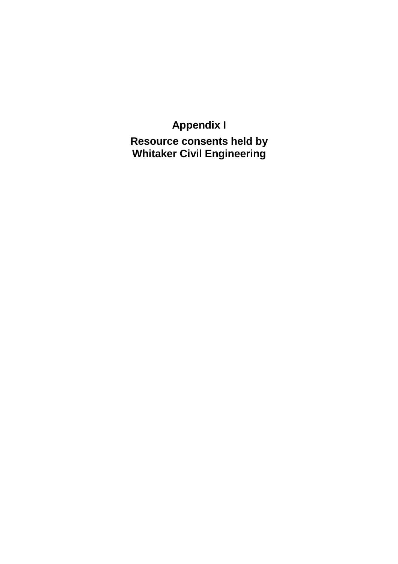# **Appendix I**

**Resource consents held by Whitaker Civil Engineering**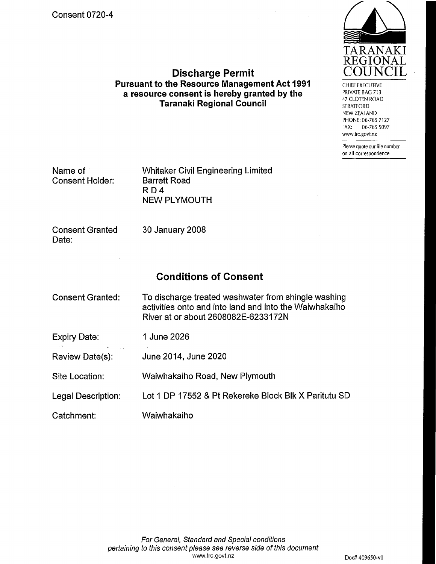![](_page_30_Picture_1.jpeg)

**CHIEF EXECUTIVE** PRIVATE BAG 713 47 CLOTEN ROAD **STRATFORD** NEW ZEALAND PHONE: 06-765 7127 FAX: 06-765 5097 www.trc.govt.nz

Please quote our file number on all correspondence

| Name of<br><b>Consent Holder:</b> | <b>Whitaker Civil Engineering Limited</b><br><b>Barrett Road</b><br>RD4<br><b>NEW PLYMOUTH</b> |  |
|-----------------------------------|------------------------------------------------------------------------------------------------|--|
| <b>Consent Granted</b><br>Date:   | 30 January 2008                                                                                |  |
|                                   | <b>Conditions of Consent</b>                                                                   |  |

**Discharge Permit** Pursuant to the Resource Management Act 1991

a resource consent is hereby granted by the

**Taranaki Regional Council** 

| <b>Consent Granted:</b> | To discharge treated washwater from shingle washing<br>activities onto and into land and into the Waiwhakaiho<br>River at or about 2608082E-6233172N |
|-------------------------|------------------------------------------------------------------------------------------------------------------------------------------------------|
| Expiry Date:            | 1 June 2026                                                                                                                                          |
| Review Date(s):         | June 2014, June 2020                                                                                                                                 |
| Site Location:          | Waiwhakaiho Road, New Plymouth                                                                                                                       |
| Legal Description:      | Lot 1 DP 17552 & Pt Rekereke Block Blk X Paritutu SD                                                                                                 |
| Catchment:              | Waiwhakaiho                                                                                                                                          |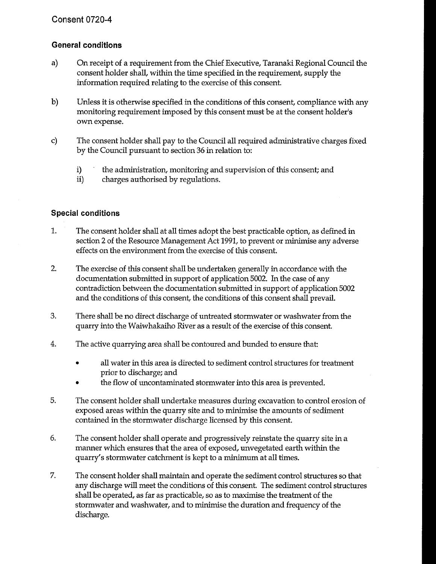## **General conditions**

- a) On receipt of a requirement from the Chief Executive, Taranaki Regional Council the consent holder shall, within the time specified in the requirement, supply the information required relating to the exercise of this consent.
- b) Unless it is otherwise specified in the conditions of this consent, compliance with any monitoring requirement imposed by this consent must be at the consent holder's own expense.
- c) The consent holder shall pay to the Council all required administrative charges fixed by the Council pursuant to section 36 in relation to:
	- $\mathbf{i}$ the administration, monitoring and supervision of this consent; and
	- $ii)$ charges authorised by regulations.

### **Special conditions**

- $1.$ The consent holder shall at all times adopt the best practicable option, as defined in section 2 of the Resource Management Act 1991, to prevent or minimise any adverse effects on the environment from the exercise of this consent.
- $2.$ The exercise of this consent shall be undertaken generally in accordance with the documentation submitted in support of application 5002. In the case of any contradiction between the documentation submitted in support of application 5002 and the conditions of this consent, the conditions of this consent shall prevail.
- 3. There shall be no direct discharge of untreated stormwater or washwater from the quarry into the Waiwhakaiho River as a result of the exercise of this consent.
- $4.$ The active quarrying area shall be contoured and bunded to ensure that:
	- $\bullet$ all water in this area is directed to sediment control structures for treatment prior to discharge; and
	- the flow of uncontaminated stormwater into this area is prevented.
- 5. The consent holder shall undertake measures during excavation to control erosion of exposed areas within the quarry site and to minimise the amounts of sediment contained in the stormwater discharge licensed by this consent.
- 6. The consent holder shall operate and progressively reinstate the quarry site in a manner which ensures that the area of exposed, unvegetated earth within the quarry's stormwater catchment is kept to a minimum at all times.
- 7. The consent holder shall maintain and operate the sediment control structures so that any discharge will meet the conditions of this consent. The sediment control structures shall be operated, as far as practicable, so as to maximise the treatment of the stormwater and washwater, and to minimise the duration and frequency of the discharge.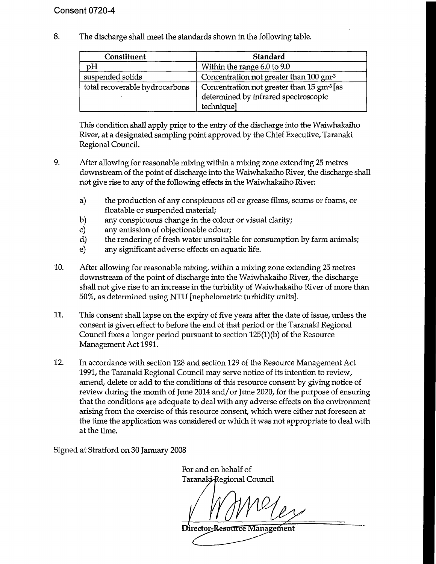8. The discharge shall meet the standards shown in the following table.

| Constituent                    | Standard                                                                                                    |
|--------------------------------|-------------------------------------------------------------------------------------------------------------|
| pH                             | Within the range 6.0 to 9.0                                                                                 |
| suspended solids               | Concentration not greater than 100 gm <sup>-3</sup>                                                         |
| total recoverable hydrocarbons | Concentration not greater than 15 gm <sup>3</sup> [as<br>determined by infrared spectroscopic<br>technique] |

This condition shall apply prior to the entry of the discharge into the Waiwhakaiho River, at a designated sampling point approved by the Chief Executive, Taranaki Regional Council.

- 9. After allowing for reasonable mixing within a mixing zone extending 25 metres downstream of the point of discharge into the Waiwhakaiho River, the discharge shall not give rise to any of the following effects in the Waiwhakaiho River:
	- a) the production of any conspicuous oil or grease films, scums or foams, or floatable or suspended material;
	- any conspicuous change in the colour or visual clarity; b)
	- $\mathbf{c}$ any emission of objectionable odour;
	- $\mathbf{d}$ the rendering of fresh water unsuitable for consumption by farm animals;
	- $e)$ any significant adverse effects on aquatic life.
- 10. After allowing for reasonable mixing, within a mixing zone extending 25 metres downstream of the point of discharge into the Waiwhakaiho River, the discharge shall not give rise to an increase in the turbidity of Waiwhakaiho River of more than 50%, as determined using NTU [nephelometric turbidity units].
- 11. This consent shall lapse on the expiry of five years after the date of issue, unless the consent is given effect to before the end of that period or the Taranaki Regional Council fixes a longer period pursuant to section  $125(1)(b)$  of the Resource Management Act 1991.
- 12. In accordance with section 128 and section 129 of the Resource Management Act 1991, the Taranaki Regional Council may serve notice of its intention to review, amend, delete or add to the conditions of this resource consent by giving notice of review during the month of June 2014 and/or June 2020, for the purpose of ensuring that the conditions are adequate to deal with any adverse effects on the environment arising from the exercise of this resource consent, which were either not foreseen at the time the application was considered or which it was not appropriate to deal with at the time.

Signed at Stratford on 30 January 2008

For and on behalf of Taranaki Regional Council

Director-Resource Management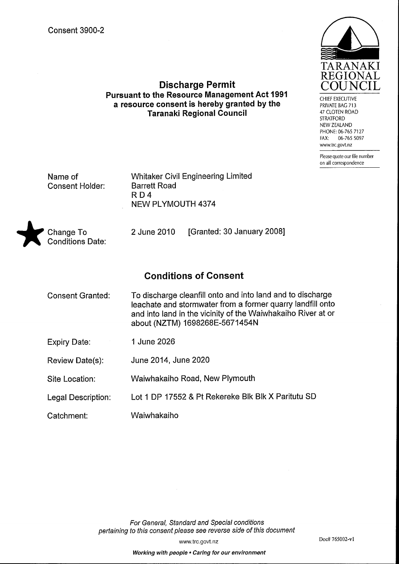![](_page_34_Picture_1.jpeg)

CHIEF EXECUTIVE PRIVATE BAG 713 47 CLOTEN ROAD **STRATFORD** NEW ZEALAND PHONE: 06-765 7127 06-765 5097  $FAX$ www.trc.govt.nz

Please quote our file number on all correspondence

Name of **Consent Holder:**  **Whitaker Civil Engineering Limited Barrett Road**  $R<sub>D</sub>4$ **NEW PLYMOUTH 4374** 

**Discharge Permit** 

**Pursuant to the Resource Management Act 1991** 

a resource consent is hereby granted by the

**Taranaki Regional Council** 

![](_page_34_Picture_6.jpeg)

2 June 2010 [Granted: 30 January 2008]

# **Conditions of Consent**

- To discharge cleanfill onto and into land and to discharge **Consent Granted:** leachate and stormwater from a former quarry landfill onto and into land in the vicinity of the Waiwhakaiho River at or about (NZTM) 1698268E-5671454N 1 June 2026 **Expiry Date:**
- Review Date(s): June 2014, June 2020
- Waiwhakaiho Road, New Plymouth Site Location:
- Lot 1 DP 17552 & Pt Rekereke Blk Blk X Paritutu SD Legal Description:
- Catchment: Waiwhakaiho

For General, Standard and Special conditions pertaining to this consent please see reverse side of this document

www.trc.govt.nz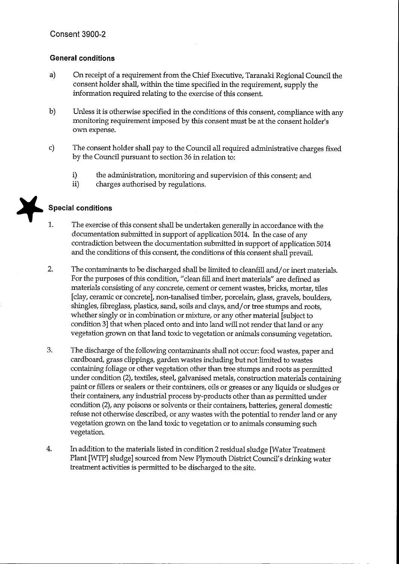### **General conditions**

- On receipt of a requirement from the Chief Executive, Taranaki Regional Council the  $a)$ consent holder shall, within the time specified in the requirement, supply the information required relating to the exercise of this consent.
- $b)$ Unless it is otherwise specified in the conditions of this consent, compliance with any monitoring requirement imposed by this consent must be at the consent holder's own expense.
- The consent holder shall pay to the Council all required administrative charges fixed  $\mathbf{c}$ by the Council pursuant to section 36 in relation to:
	- $i)$ the administration, monitoring and supervision of this consent; and
	- $ii)$ charges authorised by regulations.

## **Special conditions**

- 1. The exercise of this consent shall be undertaken generally in accordance with the documentation submitted in support of application 5014. In the case of any contradiction between the documentation submitted in support of application 5014 and the conditions of this consent, the conditions of this consent shall prevail.
- $2.$ The contaminants to be discharged shall be limited to cleanfill and/or inert materials. For the purposes of this condition, "clean fill and inert materials" are defined as materials consisting of any concrete, cement or cement wastes, bricks, mortar, tiles [clay, ceramic or concrete], non-tanalised timber, porcelain, glass, gravels, boulders, shingles, fibreglass, plastics, sand, soils and clays, and/or tree stumps and roots, whether singly or in combination or mixture, or any other material [subject to condition 3] that when placed onto and into land will not render that land or any vegetation grown on that land toxic to vegetation or animals consuming vegetation.
- 3. The discharge of the following contaminants shall not occur: food wastes, paper and cardboard, grass clippings, garden wastes including but not limited to wastes containing foliage or other vegetation other than tree stumps and roots as permitted under condition (2), textiles, steel, galvanised metals, construction materials containing paint or fillers or sealers or their containers, oils or greases or any liquids or sludges or their containers, any industrial process by-products other than as permitted under condition (2), any poisons or solvents or their containers, batteries, general domestic refuse not otherwise described, or any wastes with the potential to render land or any vegetation grown on the land toxic to vegetation or to animals consuming such vegetation.
- $4.$ In addition to the materials listed in condition 2 residual sludge [Water Treatment Plant [WTP] sludge] sourced from New Plymouth District Council's drinking water treatment activities is permitted to be discharged to the site.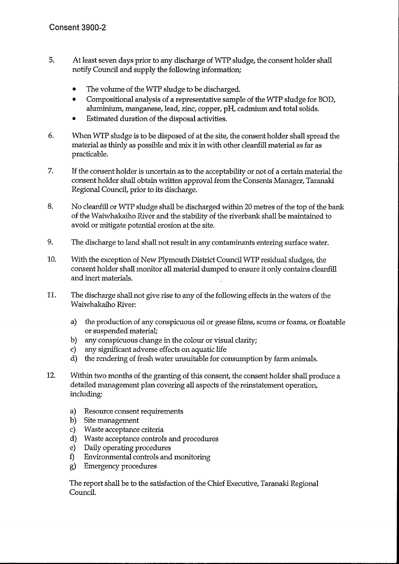- 5. At least seven days prior to any discharge of WTP sludge, the consent holder shall notify Council and supply the following information;
	- The volume of the WTP sludge to be discharged.
	- Compositional analysis of a representative sample of the WTP sludge for BOD.  $\bullet$ aluminium, manganese, lead, zinc, copper, pH, cadmium and total solids.
	- Estimated duration of the disposal activities.
- 6. When WTP sludge is to be disposed of at the site, the consent holder shall spread the material as thinly as possible and mix it in with other cleanfill material as far as practicable.
- 7. If the consent holder is uncertain as to the acceptability or not of a certain material the consent holder shall obtain written approval from the Consents Manager, Taranaki Regional Council, prior to its discharge.
- 8. No cleanfill or WTP sludge shall be discharged within 20 metres of the top of the bank of the Waiwhakaiho River and the stability of the riverbank shall be maintained to avoid or mitigate potential erosion at the site.
- 9. The discharge to land shall not result in any contaminants entering surface water.
- 10. With the exception of New Plymouth District Council WTP residual sludges, the consent holder shall monitor all material dumped to ensure it only contains cleanfill and inert materials.
- 11. The discharge shall not give rise to any of the following effects in the waters of the Waiwhakaiho River:
	- $a)$ the production of any conspicuous oil or grease films, scums or foams, or floatable or suspended material;
	- any conspicuous change in the colour or visual clarity;  $b)$
	- any significant adverse effects on aquatic life  $c$ )
	- d) the rendering of fresh water unsuitable for consumption by farm animals.
- 12. Within two months of the granting of this consent, the consent holder shall produce a detailed management plan covering all aspects of the reinstatement operation, including:
	- a) Resource consent requirements
	- b) Site management
	- c) Waste acceptance criteria
	- d) Waste acceptance controls and procedures
	- e) Daily operating procedures
	- Environmental controls and monitoring f)
	- **Emergency procedures** g)

The report shall be to the satisfaction of the Chief Executive, Taranaki Regional Council.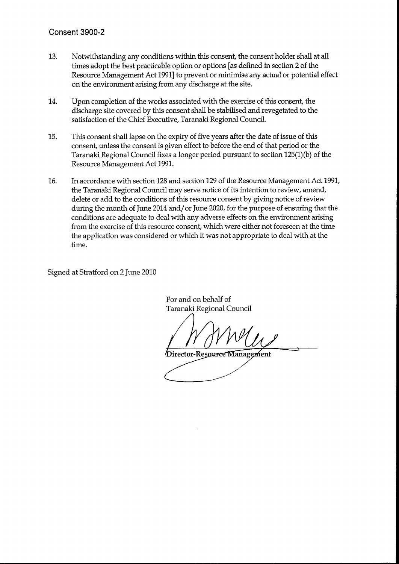- 13. Notwithstanding any conditions within this consent, the consent holder shall at all times adopt the best practicable option or options [as defined in section 2 of the Resource Management Act 1991] to prevent or minimise any actual or potential effect on the environment arising from any discharge at the site.
- 14. Upon completion of the works associated with the exercise of this consent, the discharge site covered by this consent shall be stabilised and revegetated to the satisfaction of the Chief Executive, Taranaki Regional Council.
- 15. This consent shall lapse on the expiry of five years after the date of issue of this consent, unless the consent is given effect to before the end of that period or the Taranaki Regional Council fixes a longer period pursuant to section 125(1)(b) of the Resource Management Act 1991.
- In accordance with section 128 and section 129 of the Resource Management Act 1991, 16. the Taranaki Regional Council may serve notice of its intention to review, amend, delete or add to the conditions of this resource consent by giving notice of review during the month of June 2014 and/or June 2020, for the purpose of ensuring that the conditions are adequate to deal with any adverse effects on the environment arising from the exercise of this resource consent, which were either not foreseen at the time the application was considered or which it was not appropriate to deal with at the time.

Signed at Stratford on 2 June 2010

For and on behalf of Taranaki Regional Council

Director-Resource Management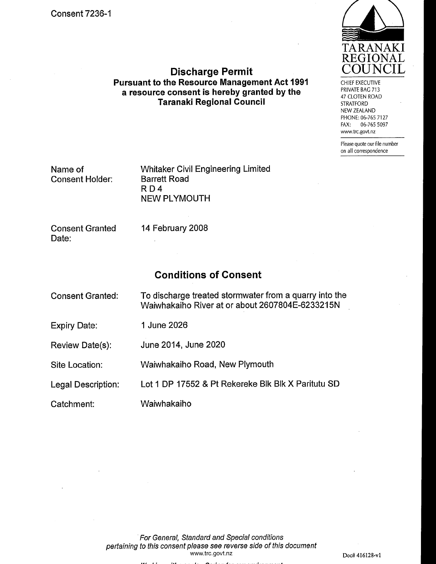![](_page_38_Picture_1.jpeg)

**Discharge Permit Pursuant to the Resource Management Act 1991** a resource consent is hereby granted by the **Taranaki Regional Council** 

CHIEF EXECUTIVE PRIVATE BAG 713 47 CLOTEN ROAD **STRATFORD** NEW ZEALAND PHONE: 06-765 7127 FAX: 06-765 5097 www.trc.govt.nz

Please quote our file number on all correspondence

Name of **Consent Holder:**  **Whitaker Civil Engineering Limited Barrett Road** RD4 **NEW PLYMOUTH** 

**Consent Granted** Date:

14 February 2008

# **Conditions of Consent**

| <b>Consent Granted:</b> | To discharge treated stormwater from a quarry into the<br>Waiwhakaiho River at or about 2607804E-6233215N |
|-------------------------|-----------------------------------------------------------------------------------------------------------|
| Expiry Date:            | 1 June 2026                                                                                               |
| Review Date(s):         | June 2014, June 2020                                                                                      |
| Site Location:          | Waiwhakaiho Road, New Plymouth                                                                            |
| Legal Description:      | Lot 1 DP 17552 & Pt Rekereke Blk Blk X Paritutu SD                                                        |
| Catchment:              | Waiwhakaiho                                                                                               |

For General, Standard and Special conditions pertaining to this consent please see reverse side of this document www.trc.govt.nz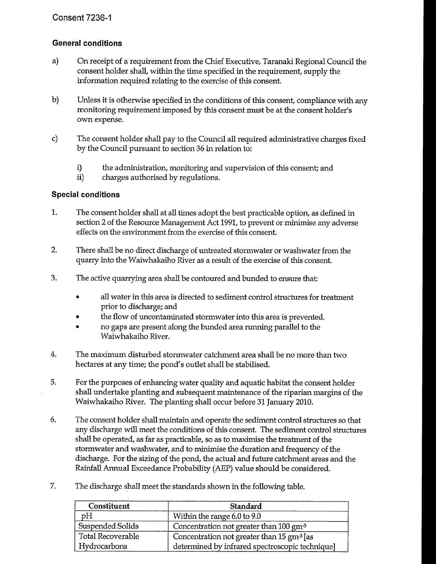### **General conditions**

- a) On receipt of a requirement from the Chief Executive, Taranaki Regional Council the consent holder shall, within the time specified in the requirement, supply the information required relating to the exercise of this consent.
- $b)$ Unless it is otherwise specified in the conditions of this consent, compliance with any monitoring requirement imposed by this consent must be at the consent holder's own expense.
- $\mathbf{c}$ The consent holder shall pay to the Council all required administrative charges fixed by the Council pursuant to section 36 in relation to:
	- $\mathbf{i}$ the administration, monitoring and supervision of this consent; and
	- $ii)$ charges authorised by regulations.

### **Special conditions**

- 1. The consent holder shall at all times adopt the best practicable option, as defined in section 2 of the Resource Management Act 1991, to prevent or minimise any adverse effects on the environment from the exercise of this consent.
- $2.$ There shall be no direct discharge of untreated stormwater or washwater from the quarry into the Waiwhakaiho River as a result of the exercise of this consent.
- 3. The active quarrying area shall be contoured and bunded to ensure that:
	- all water in this area is directed to sediment control structures for treatment prior to discharge; and
	- the flow of uncontaminated stormwater into this area is prevented.  $\bullet$
	- no gaps are present along the bunded area running parallel to the  $\bullet$ Waiwhakaiho River.
- $4.$ The maximum disturbed stormwater catchment area shall be no more than two hectares at any time; the pond's outlet shall be stabilised.
- 5. For the purposes of enhancing water quality and aquatic habitat the consent holder shall undertake planting and subsequent maintenance of the riparian margins of the Waiwhakaiho River. The planting shall occur before 31 January 2010.
- 6. The consent holder shall maintain and operate the sediment control structures so that any discharge will meet the conditions of this consent. The sediment control structures shall be operated, as far as practicable, so as to maximise the treatment of the stormwater and washwater, and to minimise the duration and frequency of the discharge. For the sizing of the pond, the actual and future catchment areas and the Rainfall Annual Exceedance Probability (AEP) value should be considered.
- 7. The discharge shall meet the standards shown in the following table.

| Constituent              | Standard                                                        |
|--------------------------|-----------------------------------------------------------------|
| pH                       | Within the range 6.0 to 9.0                                     |
| <b>Suspended Solids</b>  | Concentration not greater than 100 gm <sup>3</sup>              |
| <b>Total Recoverable</b> | Concentration not greater than $15 \text{ gm}$ <sup>3</sup> [as |
| Hydrocarbons             | determined by infrared spectroscopic technique]                 |